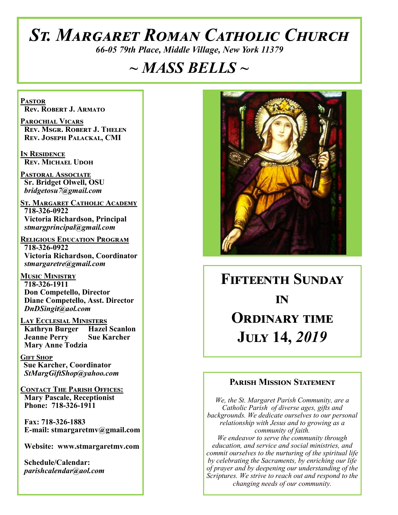# *St. Margaret Roman Catholic Church*

*66-05 79th Place, Middle Village, New York 11379*

# *~ MASS BELLS ~*

**Pastor Rev. Robert J. Armato**

**Parochial Vicars Rev. Msgr. Robert J. Thelen Rev. Joseph Palackal, CMI**

**In Residence Rev. Michael Udoh**

**Pastoral Associate Sr. Bridget Olwell, OSU**  *bridgetosu7@gmail.com*

**St. Margaret Catholic Academy 718-326-0922 Victoria Richardson, Principal**  *stmargprincipal@gmail.com*

**Religious Education Program 718-326-0922 Victoria Richardson, Coordinator** *stmargaretre@gmail.com*

**Music Ministry 718-326-1911 Don Competello, Director Diane Competello, Asst. Director** *DnDSingit@aol.com*

**LAY ECCLESIAL MINISTERS**<br>**Kathryn Burger Hazel Scanlon Kathryn Burger Jeanne Perry Sue Karcher Mary Anne Todzia**

**Gift Shop Sue Karcher, Coordinator** *StMargGiftShop@yahoo.com*

**Contact The Parish Offices: Mary Pascale, Receptionist Phone: 718-326-1911** 

 **Fax: 718-326-1883 E-mail: stmargaretmv@gmail.com**

 **Website: www.stmargaretmv.com**

 **Schedule/Calendar:** *parishcalendar@aol.com* 



**Fifteenth Sunday** *in* **Ordinary time July 14,** *2019* 

#### **Parish Mission Statement**

*We, the St. Margaret Parish Community, are a Catholic Parish of diverse ages, gifts and backgrounds. We dedicate ourselves to our personal relationship with Jesus and to growing as a community of faith. We endeavor to serve the community through education, and service and social ministries, and commit ourselves to the nurturing of the spiritual life by celebrating the Sacraments, by enriching our life of prayer and by deepening our understanding of the Scriptures. We strive to reach out and respond to the* 

*changing needs of our community.*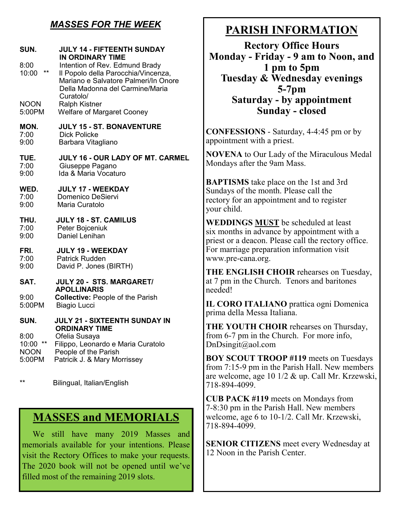### *MASSES FOR THE WEEK*

| SUN.<br>8:00<br>**<br>10:00                       | <b>JULY 14 - FIFTEENTH SUNDAY</b><br><b>IN ORDINARY TIME</b><br>Intention of Rev. Edmund Brady<br>Il Popolo della Parocchia/Vincenza,<br>Mariano e Salvatore Palmeri/In Onore<br>Della Madonna del Carmine/Maria<br>Curatolo/ |
|---------------------------------------------------|-------------------------------------------------------------------------------------------------------------------------------------------------------------------------------------------------------------------------------|
| <b>NOON</b>                                       | <b>Ralph Kistner</b>                                                                                                                                                                                                          |
| 5:00PM                                            | <b>Welfare of Margaret Cooney</b>                                                                                                                                                                                             |
| MON.                                              | <b>JULY 15 - ST. BONAVENTURE</b>                                                                                                                                                                                              |
| 7:00                                              | <b>Dick Policke</b>                                                                                                                                                                                                           |
| 9:00                                              | Barbara Vitagliano                                                                                                                                                                                                            |
| TUE.                                              | JULY 16 - OUR LADY OF MT. CARMEL                                                                                                                                                                                              |
| 7:00                                              | Giuseppe Pagano                                                                                                                                                                                                               |
| 9:00                                              | Ida & Maria Vocaturo                                                                                                                                                                                                          |
| WED.                                              | <b>JULY 17 - WEEKDAY</b>                                                                                                                                                                                                      |
| 7:00                                              | <b>Domenico DeSiervi</b>                                                                                                                                                                                                      |
| 9:00                                              | Maria Curatolo                                                                                                                                                                                                                |
| THU.                                              | <b>JULY 18 - ST. CAMILUS</b>                                                                                                                                                                                                  |
| 7:00                                              | Peter Bojceniuk                                                                                                                                                                                                               |
| 9:00                                              | Daniel Lenihan                                                                                                                                                                                                                |
| FRI.                                              | <b>JULY 19 - WEEKDAY</b>                                                                                                                                                                                                      |
| 7:00                                              | <b>Patrick Rudden</b>                                                                                                                                                                                                         |
| 9:00                                              | David P. Jones (BIRTH)                                                                                                                                                                                                        |
| SAT.                                              | JULY 20 - STS. MARGARET/<br><b>APOLLINARIS</b>                                                                                                                                                                                |
| 9:00                                              | <b>Collective: People of the Parish</b>                                                                                                                                                                                       |
| 5:00PM                                            | <b>Biagio Lucci</b>                                                                                                                                                                                                           |
| SUN.<br>8:00<br>10:00 **<br><b>NOON</b><br>5:00PM | <b>JULY 21 - SIXTEENTH SUNDAY IN</b><br><b>ORDINARY TIME</b><br>Ofelia Susaya<br>Filippo, Leonardo e Maria Curatolo<br>People of the Parish<br>Patricik J. & Mary Morrissey                                                   |

\*\* Bilingual, Italian/English

### **MASSES and MEMORIALS**

 We still have many 2019 Masses and memorials available for your intentions. Please visit the Rectory Offices to make your requests. The 2020 book will not be opened until we've filled most of the remaining 2019 slots.

### **PARISH INFORMATION**

**Rectory Office Hours Monday - Friday - 9 am to Noon, and 1 pm to 5pm Tuesday & Wednesday evenings 5-7pm Saturday - by appointment Sunday - closed**

**CONFESSIONS** - Saturday, 4-4:45 pm or by appointment with a priest.

**NOVENA** to Our Lady of the Miraculous Medal Mondays after the 9am Mass.

**BAPTISMS** take place on the 1st and 3rd Sundays of the month. Please call the rectory for an appointment and to register your child.

**WEDDINGS MUST** be scheduled at least six months in advance by appointment with a priest or a deacon. Please call the rectory office. For marriage preparation information visit www.pre-cana.org.

**THE ENGLISH CHOIR** rehearses on Tuesday, at 7 pm in the Church. Tenors and baritones needed!

**IL CORO ITALIANO** prattica ogni Domenica prima della Messa Italiana.

**THE YOUTH CHOIR** rehearses on Thursday, from 6-7 pm in the Church. For more info, DnDsingit@aol.com

**BOY SCOUT TROOP #119** meets on Tuesdays from 7:15-9 pm in the Parish Hall. New members are welcome, age 10 1/2 & up. Call Mr. Krzewski, 718-894-4099.

**CUB PACK #119** meets on Mondays from 7-8:30 pm in the Parish Hall. New members welcome, age 6 to 10-1/2. Call Mr. Krzewski, 718-894-4099.

**SENIOR CITIZENS** meet every Wednesday at 12 Noon in the Parish Center.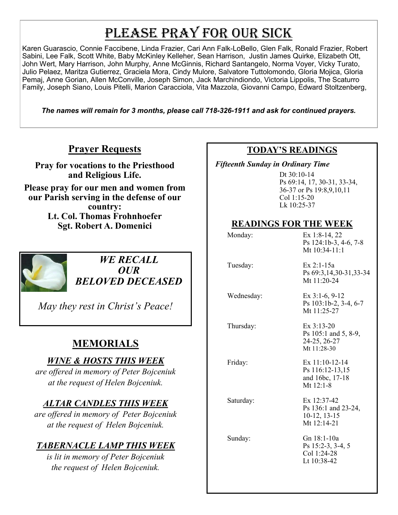# PLEASE PRAY FOR OUR SICK

Karen Guarascio, Connie Faccibene, Linda Frazier, Cari Ann Falk-LoBello, Glen Falk, Ronald Frazier, Robert Sabini, Lee Falk, Scott White, Baby McKinley Kelleher, Sean Harrison, Justin James Quirke, Elizabeth Ott, John Wert, Mary Harrison, John Murphy, Anne McGinnis, Richard Santangelo, Norma Voyer, Vicky Turato, Julio Pelaez, Maritza Gutierrez, Graciela Mora, Cindy Mulore, Salvatore Tuttolomondo, Gloria Mojica, Gloria Pemaj, Anne Gorian, Allen McConville, Joseph Simon, Jack Marchindiondo, Victoria Lippolis, The Scaturro Family, Joseph Siano, Louis Pitelli, Marion Caracciola, Vita Mazzola, Giovanni Campo, Edward Stoltzenberg,

*The names will remain for 3 months, please call 718-326-1911 and ask for continued prayers.*

### **Prayer Requests**

**Pray for vocations to the Priesthood and Religious Life.** 

**Please pray for our men and women from our Parish serving in the defense of our country: Lt. Col. Thomas Frohnhoefer Sgt. Robert A. Domenici** 



*WE RECALL OUR BELOVED DECEASED*

*May they rest in Christ's Peace!*

### **MEMORIALS**

### *WINE & HOSTS THIS WEEK*

*are offered in memory of Peter Bojceniuk at the request of Helen Bojceniuk.* 

### *ALTAR CANDLES THIS WEEK*

*are offered in memory of Peter Bojceniuk at the request of Helen Bojceniuk.* 

### *TABERNACLE LAMP THIS WEEK*

*is lit in memory of Peter Bojceniuk the request of Helen Bojceniuk.* 

#### **TODAY'S READINGS**

 *Fifteenth Sunday in Ordinary Time* 

Dt 30:10-14 Ps 69:14, 17, 30-31, 33-34, 36-37 or Ps 19:8,9,10,11 Col 1:15-20 Lk 10:25-37

### **READINGS FOR THE WEEK**

| Monday:    | Ex 1:8-14, 22<br>Ps 124:1b-3, 4-6, 7-8<br>Mt $10:34-11:1$           |
|------------|---------------------------------------------------------------------|
| Tuesday:   | $Ex 2:1-15a$<br>Ps 69:3, 14, 30 - 31, 33 - 34<br>Mt 11:20-24        |
| Wednesday: | Ex $3:1-6, 9-12$<br>Ps 103:1b-2, 3-4, 6-7<br>Mt $11:25-27$          |
| Thursday:  | Ex 3:13-20<br>Ps 105:1 and 5, 8-9,<br>24-25, 26-27<br>Mt $11:28-30$ |
| Friday:    | Ex $11:10-12-14$<br>Ps 116:12-13,15<br>and 16bc, 17-18<br>Mt 12:1-8 |
| Saturday:  | Ex 12:37-42<br>Ps 136:1 and 23-24,<br>$10-12, 13-15$<br>Mt 12:14-21 |
| Sunday:    | Gn 18:1-10a<br>Ps 15:2-3, 3-4, 5<br>Col 1:24-28<br>Lt 10:38-42      |
|            |                                                                     |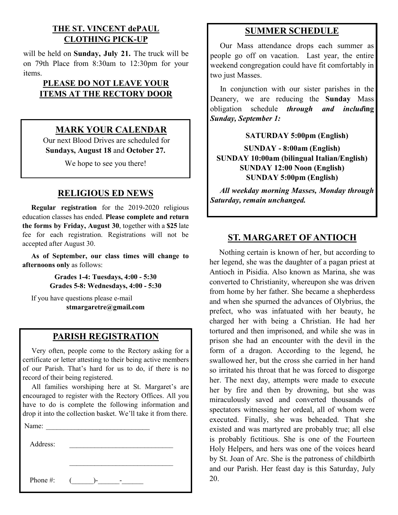#### **THE ST. VINCENT dePAUL CLOTHING PICK-UP**

will be held on **Sunday, July 21.** The truck will be on 79th Place from 8:30am to 12:30pm for your items.

#### **PLEASE DO NOT LEAVE YOUR ITEMS AT THE RECTORY DOOR**

### **MARK YOUR CALENDAR**

Our next Blood Drives are scheduled for **Sundays, August 18** and **October 27.**

We hope to see you there!

#### **RELIGIOUS ED NEWS**

 **Regular registration** for the 2019-2020 religious education classes has ended. **Please complete and return the forms by Friday, August 30**, together with a **\$25** late fee for each registration. Registrations will not be accepted after August 30.

 **As of September, our class times will change to afternoons only** as follows:

> **Grades 1-4: Tuesdays, 4:00 - 5:30 Grades 5-8: Wednesdays, 4:00 - 5:30**

 If you have questions please e-mail **stmargaretre@gmail.com**

#### **PARISH REGISTRATION**

 Very often, people come to the Rectory asking for a certificate or letter attesting to their being active members of our Parish. That's hard for us to do, if there is no record of their being registered.

 All families worshiping here at St. Margaret's are encouraged to register with the Rectory Offices. All you have to do is complete the following information and drop it into the collection basket. We'll take it from there.

| Name:    |  |  |
|----------|--|--|
| Address: |  |  |
|          |  |  |
|          |  |  |

Phone #:  $($   $)$ -  $-$ 

**SUMMER SCHEDULE**

 Our Mass attendance drops each summer as people go off on vacation. Last year, the entire weekend congregation could have fit comfortably in two just Masses.

 In conjunction with our sister parishes in the Deanery, we are reducing the **Sunday** Mass obligation schedule *through and includ***ing**  *Sunday, September 1:* 

#### **SATURDAY 5:00pm (English)**

**SUNDAY - 8:00am (English) SUNDAY 10:00am (bilingual Italian/English) SUNDAY 12:00 Noon (English) SUNDAY 5:00pm (English)**

*All weekday morning Masses, Monday through Saturday, remain unchanged.*

### **ST. MARGARET OF ANTIOCH**

 Nothing certain is known of her, but according to her legend, she was the daughter of a pagan priest at Antioch in Pisidia. Also known as Marina, she was converted to Christianity, whereupon she was driven from home by her father. She became a shepherdess and when she spurned the advances of Olybrius, the prefect, who was infatuated with her beauty, he charged her with being a Christian. He had her tortured and then imprisoned, and while she was in prison she had an encounter with the devil in the form of a dragon. According to the legend, he swallowed her, but the cross she carried in her hand so irritated his throat that he was forced to disgorge her. The next day, attempts were made to execute her by fire and then by drowning, but she was miraculously saved and converted thousands of spectators witnessing her ordeal, all of whom were executed. Finally, she was beheaded. That she existed and was martyred are probably true; all else is probably fictitious. She is one of the Fourteen Holy Helpers, and hers was one of the voices heard by St. Joan of Arc. She is the patroness of childbirth and our Parish. Her feast day is this Saturday, July 20.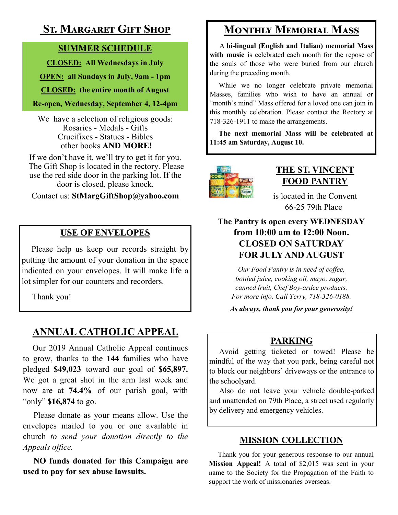### **St. Margaret Gift Shop**

### **SUMMER SCHEDULE**

**CLOSED: All Wednesdays in July**

**OPEN: all Sundays in July, 9am - 1pm**

**CLOSED: the entire month of August**

#### **Re-open, Wednesday, September 4, 12-4pm**

We have a selection of religious goods: Rosaries - Medals - Gifts Crucifixes - Statues - Bibles other books **AND MORE!**

If we don't have it, we'll try to get it for you. The Gift Shop is located in the rectory. Please use the red side door in the parking lot. If the door is closed, please knock.

#### Contact us: **StMargGiftShop@yahoo.com**

### **USE OF ENVELOPES**

 Please help us keep our records straight by putting the amount of your donation in the space indicated on your envelopes. It will make life a lot simpler for our counters and recorders.

Thank you!

### **ANNUAL CATHOLIC APPEAL**

 Our 2019 Annual Catholic Appeal continues to grow, thanks to the **144** families who have pledged **\$49,023** toward our goal of **\$65,897.**  We got a great shot in the arm last week and now are at **74.4%** of our parish goal, with "only" **\$16,874** to go.

 Please donate as your means allow. Use the envelopes mailed to you or one available in church *to send your donation directly to the Appeals office.*

 **NO funds donated for this Campaign are used to pay for sex abuse lawsuits.** 

### **Monthly Memorial Mass**

 A **bi-lingual (English and Italian) memorial Mass with music** is celebrated each month for the repose of the souls of those who were buried from our church during the preceding month.

 While we no longer celebrate private memorial Masses, families who wish to have an annual or "month's mind" Mass offered for a loved one can join in this monthly celebration. Please contact the Rectory at 718-326-1911 to make the arrangements.

 **The next memorial Mass will be celebrated at 11:45 am Saturday, August 10.** 



### **THE ST. VINCENT FOOD PANTRY**

is located in the Convent 66-25 79th Place

### **The Pantry is open every WEDNESDAY from 10:00 am to 12:00 Noon. CLOSED ON SATURDAY FOR JULY AND AUGUST**

*Our Food Pantry is in need of coffee, bottled juice, cooking oil, mayo, sugar, canned fruit, Chef Boy-ardee products. For more info. Call Terry, 718-326-0188.*

*As always, thank you for your generosity!*

### **PARKING**

 Avoid getting ticketed or towed! Please be mindful of the way that you park, being careful not to block our neighbors' driveways or the entrance to the schoolyard.

 Also do not leave your vehicle double-parked and unattended on 79th Place, a street used regularly by delivery and emergency vehicles.

### **MISSION COLLECTION**

 Thank you for your generous response to our annual **Mission Appeal!** A total of \$2,015 was sent in your name to the Society for the Propagation of the Faith to support the work of missionaries overseas.